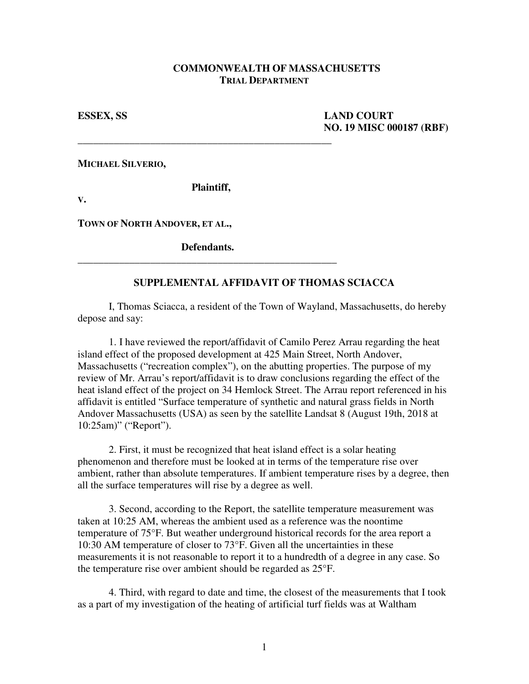## **COMMONWEALTH OF MASSACHUSETTS TRIAL DEPARTMENT**

**ESSEX, SS LAND COURT NO. 19 MISC 000187 (RBF)** 

**MICHAEL SILVERIO,** 

 **Plaintiff,** 

\_\_\_\_\_\_\_\_\_\_\_\_\_\_\_\_\_\_\_\_\_\_\_\_\_\_\_\_\_\_\_\_\_\_\_\_\_\_\_\_\_\_\_\_\_\_\_\_\_

**V.** 

**TOWN OF NORTH ANDOVER, ET AL.,** 

 **Defendants.** \_\_\_\_\_\_\_\_\_\_\_\_\_\_\_\_\_\_\_\_\_\_\_\_\_\_\_\_\_\_\_\_\_\_\_\_\_\_\_\_\_\_\_\_\_\_\_\_\_\_

## **SUPPLEMENTAL AFFIDAVIT OF THOMAS SCIACCA**

 I, Thomas Sciacca, a resident of the Town of Wayland, Massachusetts, do hereby depose and say:

 1. I have reviewed the report/affidavit of Camilo Perez Arrau regarding the heat island effect of the proposed development at 425 Main Street, North Andover, Massachusetts ("recreation complex"), on the abutting properties. The purpose of my review of Mr. Arrau's report/affidavit is to draw conclusions regarding the effect of the heat island effect of the project on 34 Hemlock Street. The Arrau report referenced in his affidavit is entitled "Surface temperature of synthetic and natural grass fields in North Andover Massachusetts (USA) as seen by the satellite Landsat 8 (August 19th, 2018 at 10:25am)" ("Report").

 2. First, it must be recognized that heat island effect is a solar heating phenomenon and therefore must be looked at in terms of the temperature rise over ambient, rather than absolute temperatures. If ambient temperature rises by a degree, then all the surface temperatures will rise by a degree as well.

 3. Second, according to the Report, the satellite temperature measurement was taken at 10:25 AM, whereas the ambient used as a reference was the noontime temperature of 75°F. But weather underground historical records for the area report a 10:30 AM temperature of closer to 73°F. Given all the uncertainties in these measurements it is not reasonable to report it to a hundredth of a degree in any case. So the temperature rise over ambient should be regarded as 25°F.

 4. Third, with regard to date and time, the closest of the measurements that I took as a part of my investigation of the heating of artificial turf fields was at Waltham